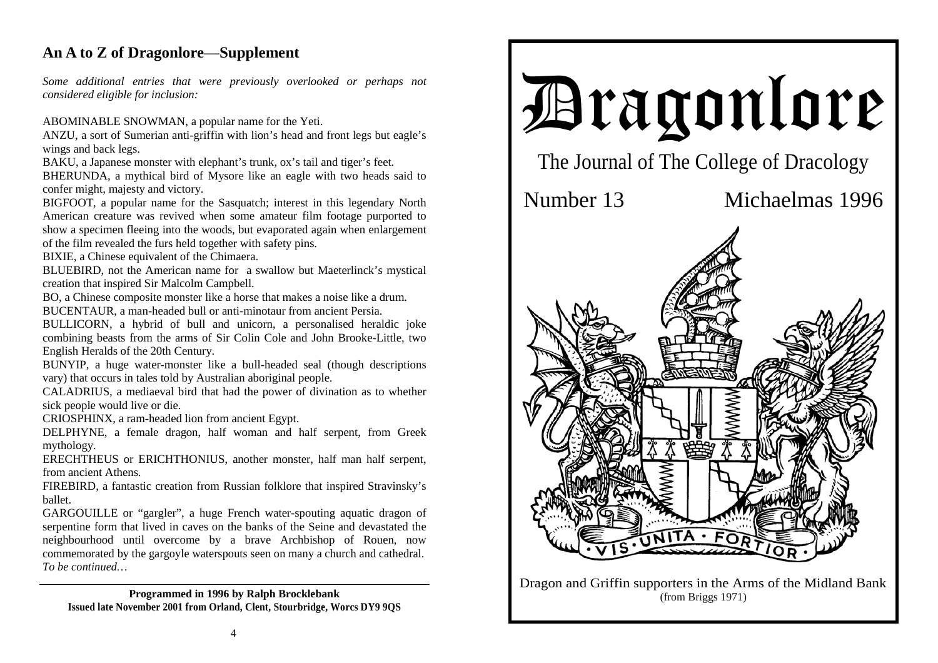## **An A to Z of Dragonlore**—**Supplement**

*Some additional entries that were previously overlooked or perhaps not considered eligible for inclusion:*

ABOMINABLE SNOWMAN, a popular name for the Yeti.

ANZU, a sort of Sumerian anti-griffin with lion's head and front legs but eagle's wings and back legs.

BAKU, a Japanese monster with elephant's trunk, ox's tail and tiger's feet.

BHERUNDA, a mythical bird of Mysore like an eagle with two heads said to confer might, majesty and victory.

BIGFOOT, a popular name for the Sasquatch; interest in this legendary North American creature was revived when some amateur film footage purported to show a specimen fleeing into the woods, but evaporated again when enlargement of the film revealed the furs held together with safety pins.

BIXIE, a Chinese equivalent of the Chimaera.

BLUEBIRD, not the American name for a swallow but Maeterlinck's mystical creation that inspired Sir Malcolm Campbell.

BO, a Chinese composite monster like a horse that makes a noise like a drum.

BUCENTAUR, a man-headed bull or anti-minotaur from ancient Persia.

BULLICORN, a hybrid of bull and unicorn, a personalised heraldic joke combining beasts from the arms of Sir Colin Cole and John Brooke-Little, two English Heralds of the 20th Century.

BUNYIP, a huge water-monster like a bull-headed seal (though descriptions vary) that occurs in tales told by Australian aboriginal people.

CALADRIUS, a mediaeval bird that had the power of divination as to whether sick people would live or die.

CRIOSPHINX, a ram-headed lion from ancient Egypt.

DELPHYNE, a female dragon, half woman and half serpent, from Greek mythology.

ERECHTHEUS or ERICHTHONIUS, another monster, half man half serpent, from ancient Athens.

FIREBIRD, a fantastic creation from Russian folklore that inspired Stravinsky's ballet.

GARGOUILLE or "gargler", a huge French water-spouting aquatic dragon of serpentine form that lived in caves on the banks of the Seine and devastated the neighbourhood until overcome by a brave Archbishop of Rouen, now commemorated by the gargoyle waterspouts seen on many a church and cathedral. *To be continued…* 

**Programmed in 1996 by Ralph Brocklebank Issued late November 2001 from Orland, Clent, Stourbridge, Worcs DY9 9QS** 



Dragon and Griffin supporters in the Arms of the Midland Bank (from Briggs 1971)